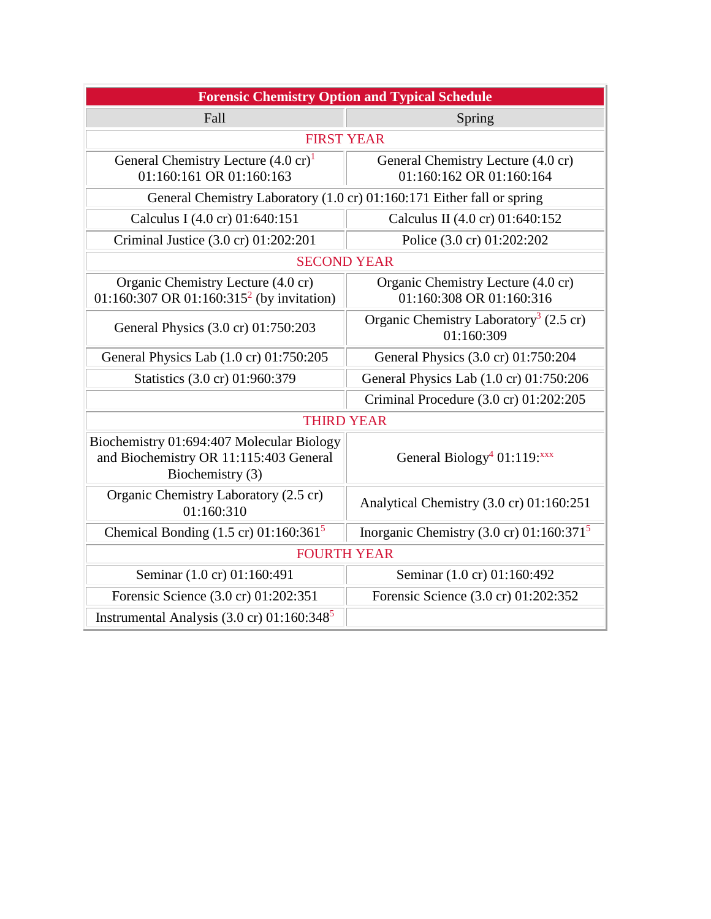| <b>Forensic Chemistry Option and Typical Schedule</b>                                                   |                                                                  |
|---------------------------------------------------------------------------------------------------------|------------------------------------------------------------------|
| Fall                                                                                                    | Spring                                                           |
| <b>FIRST YEAR</b>                                                                                       |                                                                  |
| General Chemistry Lecture (4.0 cr) <sup>1</sup><br>01:160:161 OR 01:160:163                             | General Chemistry Lecture (4.0 cr)<br>01:160:162 OR 01:160:164   |
| General Chemistry Laboratory (1.0 cr) 01:160:171 Either fall or spring                                  |                                                                  |
| Calculus I (4.0 cr) 01:640:151                                                                          | Calculus II (4.0 cr) 01:640:152                                  |
| Criminal Justice (3.0 cr) 01:202:201                                                                    | Police (3.0 cr) 01:202:202                                       |
| <b>SECOND YEAR</b>                                                                                      |                                                                  |
| Organic Chemistry Lecture (4.0 cr)<br>01:160:307 OR 01:160:315 <sup>2</sup> (by invitation)             | Organic Chemistry Lecture (4.0 cr)<br>01:160:308 OR 01:160:316   |
| General Physics (3.0 cr) 01:750:203                                                                     | Organic Chemistry Laboratory <sup>3</sup> (2.5 cr)<br>01:160:309 |
| General Physics Lab (1.0 cr) 01:750:205                                                                 | General Physics (3.0 cr) 01:750:204                              |
| Statistics (3.0 cr) 01:960:379                                                                          | General Physics Lab (1.0 cr) 01:750:206                          |
|                                                                                                         | Criminal Procedure (3.0 cr) 01:202:205                           |
| <b>THIRD YEAR</b>                                                                                       |                                                                  |
| Biochemistry 01:694:407 Molecular Biology<br>and Biochemistry OR 11:115:403 General<br>Biochemistry (3) | General Biology <sup>4</sup> 01:119: $xxx$                       |
| Organic Chemistry Laboratory (2.5 cr)<br>01:160:310                                                     | Analytical Chemistry (3.0 cr) 01:160:251                         |
| Chemical Bonding $(1.5 \text{ cr})$ 01:160:361 <sup>5</sup>                                             | Inorganic Chemistry $(3.0 \text{ cr})$ 01:160:371 <sup>5</sup>   |
| <b>FOURTH YEAR</b>                                                                                      |                                                                  |
| Seminar (1.0 cr) 01:160:491                                                                             | Seminar (1.0 cr) 01:160:492                                      |
| Forensic Science (3.0 cr) 01:202:351                                                                    | Forensic Science (3.0 cr) 01:202:352                             |
| Instrumental Analysis $(3.0 \text{ cr})$ 01:160:348 <sup>5</sup>                                        |                                                                  |